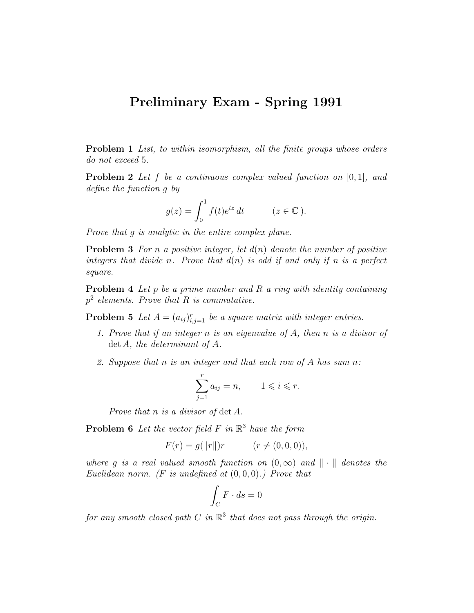## Preliminary Exam - Spring 1991

Problem 1 List, to within isomorphism, all the finite groups whose orders do not exceed 5.

**Problem 2** Let f be a continuous complex valued function on  $[0, 1]$ , and define the function g by

$$
g(z) = \int_0^1 f(t)e^{iz} dt \qquad (z \in \mathbb{C}).
$$

Prove that g is analytic in the entire complex plane.

**Problem 3** For n a positive integer, let  $d(n)$  denote the number of positive integers that divide n. Prove that  $d(n)$  is odd if and only if n is a perfect square.

**Problem 4** Let  $p$  be a prime number and  $R$  a ring with identity containing  $p^2$  elements. Prove that R is commutative.

**Problem 5** Let  $A = (a_{ij})_{i,j=1}^r$  be a square matrix with integer entries.

- 1. Prove that if an integer n is an eigenvalue of A, then n is a divisor of det A, the determinant of A.
- 2. Suppose that n is an integer and that each row of A has sum n:

$$
\sum_{j=1}^r a_{ij} = n, \qquad 1 \leqslant i \leqslant r.
$$

Prove that  $n$  is a divisor of det  $A$ .

**Problem 6** Let the vector field  $F$  in  $\mathbb{R}^3$  have the form

$$
F(r) = g(||r||)r \qquad (r \neq (0,0,0)),
$$

where g is a real valued smooth function on  $(0, \infty)$  and  $\|\cdot\|$  denotes the Euclidean norm. (F is undefined at  $(0,0,0)$ .) Prove that

$$
\int_C F \cdot ds = 0
$$

for any smooth closed path C in  $\mathbb{R}^3$  that does not pass through the origin.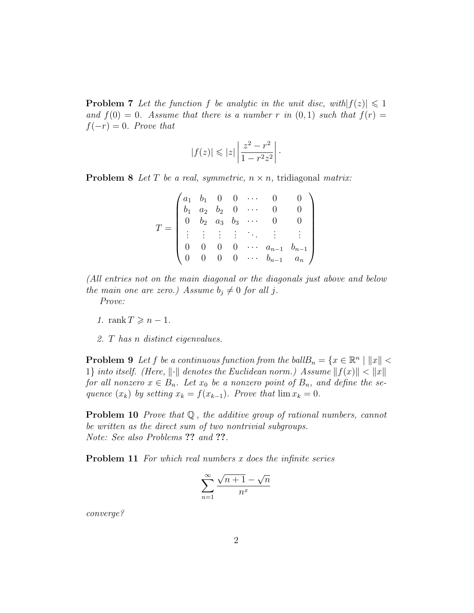**Problem 7** Let the function f be analytic in the unit disc, with  $|f(z)| \leq 1$ and  $f(0) = 0$ . Assume that there is a number r in  $(0, 1)$  such that  $f(r) =$  $f(-r) = 0$ . Prove that

$$
|f(z)| \leqslant |z| \left| \frac{z^2 - r^2}{1 - r^2 z^2} \right|.
$$

**Problem 8** Let T be a real, symmetric,  $n \times n$ , tridiagonal matrix:

|  |  |          |                                                        | $\left\{\begin{array}{ccccccc} a_1 & b_1 & 0 & 0 & \cdots & 0 & 0 \ b_1 & a_2 & b_2 & 0 & \cdots & 0 & 0 \ 0 & b_2 & a_3 & b_3 & \cdots & 0 & 0 \ \vdots & \vdots & \vdots & \vdots & \ddots & \vdots & \vdots \end{array}\right\}$ |
|--|--|----------|--------------------------------------------------------|-------------------------------------------------------------------------------------------------------------------------------------------------------------------------------------------------------------------------------------|
|  |  |          | $\begin{matrix} 0 & \cdots \\ 0 & \cdots \end{matrix}$ | $a_{n-1}$ $b_{n-1}$                                                                                                                                                                                                                 |
|  |  | $\theta$ |                                                        | $b_{n-1}$ $a_n$ /                                                                                                                                                                                                                   |

(All entries not on the main diagonal or the diagonals just above and below the main one are zero.) Assume  $b_i \neq 0$  for all j.

Prove:

- 1. rank  $T \geqslant n-1$ .
- 2. T has n distinct eigenvalues.

**Problem 9** Let f be a continuous function from the ball $B_n = \{x \in \mathbb{R}^n \mid ||x|| <$ 1} into itself. (Here,  $\|\cdot\|$  denotes the Euclidean norm.) Assume  $\|f(x)\| < \|x\|$ for all nonzero  $x \in B_n$ . Let  $x_0$  be a nonzero point of  $B_n$ , and define the sequence  $(x_k)$  by setting  $x_k = f(x_{k-1})$ . Prove that  $\lim x_k = 0$ .

Problem 10 Prove that  $Q$ , the additive group of rational numbers, cannot be written as the direct sum of two nontrivial subgroups. Note: See also Problems ?? and ??.

**Problem 11** For which real numbers x does the infinite series

$$
\sum_{n=1}^{\infty} \frac{\sqrt{n+1} - \sqrt{n}}{n^x}
$$

converge?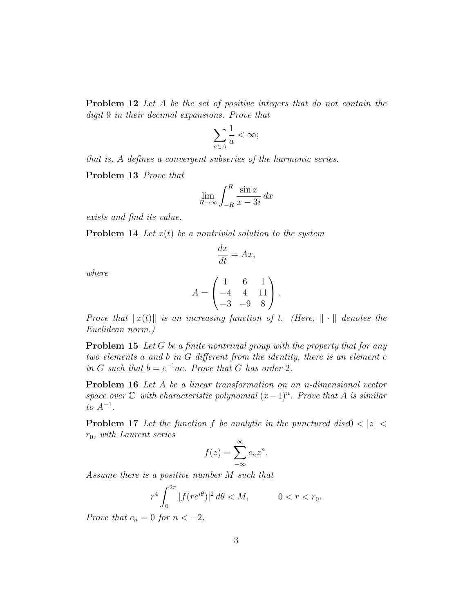**Problem 12** Let A be the set of positive integers that do not contain the digit 9 in their decimal expansions. Prove that

$$
\sum_{a\in A}\frac{1}{a}<\infty;
$$

that is, A defines a convergent subseries of the harmonic series.

Problem 13 Prove that

$$
\lim_{R \to \infty} \int_{-R}^{R} \frac{\sin x}{x - 3i} \, dx
$$

exists and find its value.

**Problem 14** Let  $x(t)$  be a nontrivial solution to the system

$$
\frac{dx}{dt} = Ax,
$$

where

$$
A = \begin{pmatrix} 1 & 6 & 1 \\ -4 & 4 & 11 \\ -3 & -9 & 8 \end{pmatrix}.
$$

Prove that  $||x(t)||$  is an increasing function of t. (Here,  $|| \cdot ||$  denotes the Euclidean norm.)

**Problem 15** Let G be a finite nontrivial group with the property that for any two elements a and b in G different from the identity, there is an element c in G such that  $b = c^{-1}ac$ . Prove that G has order 2.

Problem 16 Let A be a linear transformation on an n-dimensional vector space over  $\mathbb C$  with characteristic polynomial  $(x-1)^n$ . Prove that A is similar  $to A^{-1}.$ 

**Problem 17** Let the function f be analytic in the punctured disc $0 < |z|$  $r_0$ , with Laurent series

$$
f(z) = \sum_{-\infty}^{\infty} c_n z^n.
$$

Assume there is a positive number M such that

$$
r^4 \int_0^{2\pi} |f(re^{i\theta})|^2 d\theta < M, \qquad 0 < r < r_0.
$$

Prove that  $c_n = 0$  for  $n < -2$ .